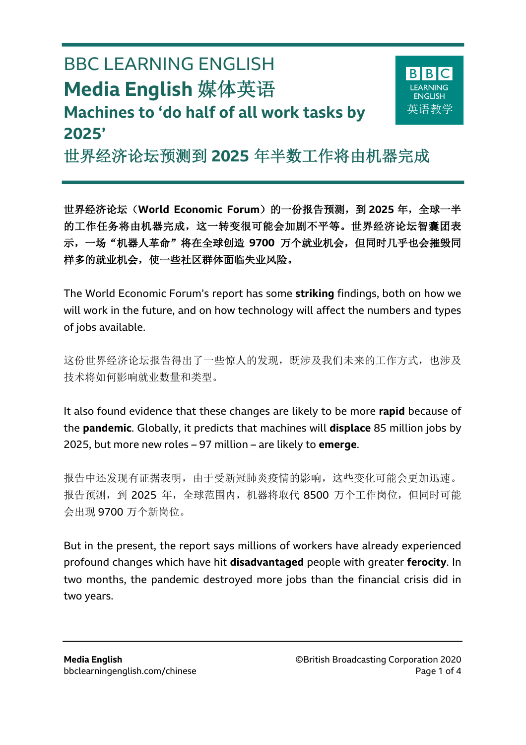# BBC LEARNING ENGLISH **Media English** 媒体英语 **Machines to 'do half of all work tasks by 2025'**

 $\overline{a}$ 



世界经济论坛预测到 **2025** 年半数工作将由机器完成

世界经济论坛(**World Economic Forum**)的一份报告预测,到 **2025** 年,全球一半 的工作任务将由机器完成,这一转变很可能会加剧不平等。世界经济论坛智囊团表 示,一场"机器人革命"将在全球创造 **9700** 万个就业机会,但同时几乎也会摧毁同 样多的就业机会,使一些社区群体面临失业风险。

The World Economic Forum's report has some **striking** findings, both on how we will work in the future, and on how technology will affect the numbers and types of jobs available.

这份世界经济论坛报告得出了一些惊人的发现, 既涉及我们未来的工作方式, 也涉及 技术将如何影响就业数量和类型。

It also found evidence that these changes are likely to be more **rapid** because of the **pandemic**. Globally, it predicts that machines will **displace** 85 million jobs by 2025, but more new roles – 97 million – are likely to **emerge**.

报告中还发现有证据表明,由于受新冠肺炎疫情的影响,这些变化可能会更加迅速。 报告预测, 到 2025 年, 全球范围内, 机器将取代 8500 万个工作岗位, 但同时可能 会出现 9700 万个新岗位。

But in the present, the report says millions of workers have already experienced profound changes which have hit **disadvantaged** people with greater **ferocity**. In two months, the pandemic destroyed more jobs than the financial crisis did in two years.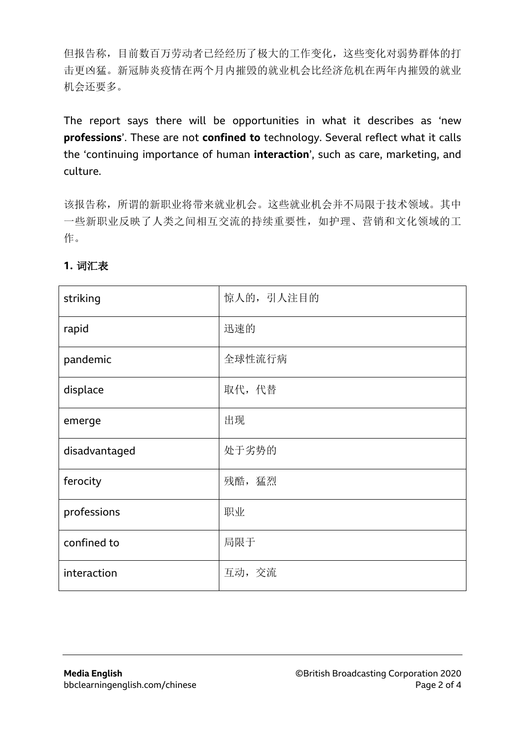但报告称,目前数百万劳动者已经经历了极大的工作变化,这些变化对弱势群体的打 击更凶猛。新冠肺炎疫情在两个月内摧毁的就业机会比经济危机在两年内摧毁的就业 机会还要多。

The report says there will be opportunities in what it describes as 'new **professions**'. These are not **confined to** technology. Several reflect what it calls the 'continuing importance of human **interaction**', such as care, marketing, and culture.

该报告称,所谓的新职业将带来就业机会。这些就业机会并不局限于技术领域。其中 一些新职业反映了人类之间相互交流的持续重要性,如护理、营销和文化领域的工 作。

| striking      | 惊人的, 引人注目的 |
|---------------|------------|
| rapid         | 迅速的        |
| pandemic      | 全球性流行病     |
| displace      | 取代,代替      |
| emerge        | 出现         |
| disadvantaged | 处于劣势的      |
| ferocity      | 残酷,猛烈      |
| professions   | 职业         |
| confined to   | 局限于        |
| interaction   | 互动, 交流     |

#### **1.** 词汇表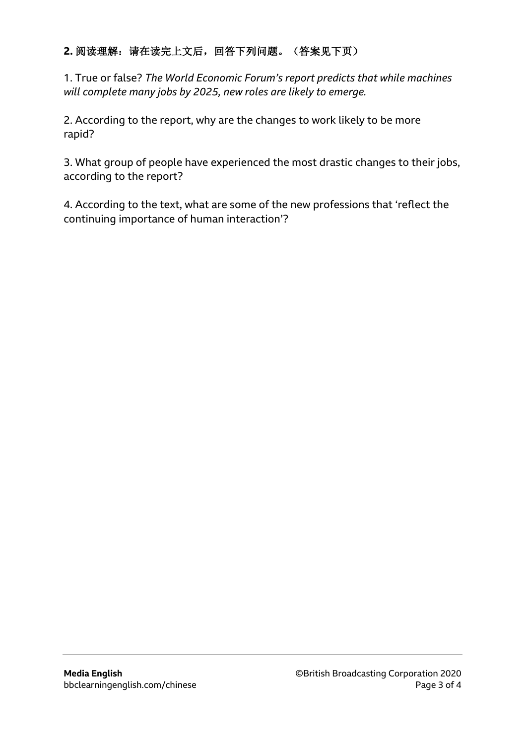## 2. 阅读理解: 请在读完上文后, 回答下列问题。(答案见下页)

1. True or false? *The World Economic Forum's report predicts that while machines will complete many jobs by 2025, new roles are likely to emerge.*

2. According to the report, why are the changes to work likely to be more rapid?

3. What group of people have experienced the most drastic changes to their jobs, according to the report?

4. According to the text, what are some of the new professions that 'reflect the continuing importance of human interaction'?